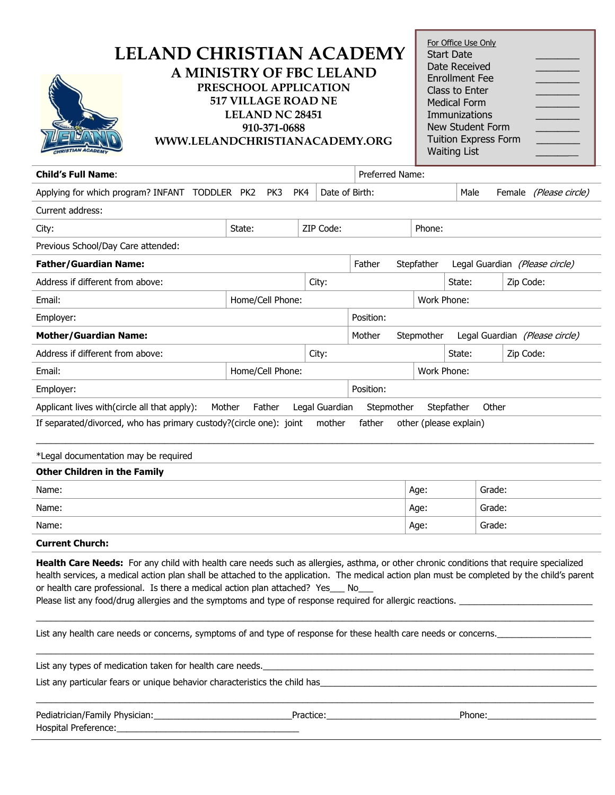| LELAND CHRISTIAN ACADEMY<br><b>A MINISTRY OF FBC LELAND</b><br>PRESCHOOL APPLICATION<br><b>517 VILLAGE ROAD NE</b><br><b>LELAND NC 28451</b><br>910-371-0688<br>WWW.LELANDCHRISTIANACADEMY.ORG                                                                                                                                                                                                                                                                                                                        |                  |                |                 |                                                                                                                |             | For Office Use Only<br>Date Received<br><b>Enrollment Fee</b><br>Class to Enter<br><b>Medical Form</b><br>Immunizations<br>New Student Form<br><b>Tuition Express Form</b><br><b>Waiting List</b> |           |                                |  |  |
|-----------------------------------------------------------------------------------------------------------------------------------------------------------------------------------------------------------------------------------------------------------------------------------------------------------------------------------------------------------------------------------------------------------------------------------------------------------------------------------------------------------------------|------------------|----------------|-----------------|----------------------------------------------------------------------------------------------------------------|-------------|---------------------------------------------------------------------------------------------------------------------------------------------------------------------------------------------------|-----------|--------------------------------|--|--|
| <b>Child's Full Name:</b>                                                                                                                                                                                                                                                                                                                                                                                                                                                                                             |                  |                | Preferred Name: |                                                                                                                |             |                                                                                                                                                                                                   |           |                                |  |  |
| Applying for which program? INFANT TODDLER PK2                                                                                                                                                                                                                                                                                                                                                                                                                                                                        | PK3              | PK4            | Date of Birth:  |                                                                                                                | Male        |                                                                                                                                                                                                   |           | Female (Please circle)         |  |  |
| Current address:                                                                                                                                                                                                                                                                                                                                                                                                                                                                                                      |                  |                |                 |                                                                                                                |             |                                                                                                                                                                                                   |           |                                |  |  |
| City:                                                                                                                                                                                                                                                                                                                                                                                                                                                                                                                 | State:           | ZIP Code:      |                 | Phone:                                                                                                         |             |                                                                                                                                                                                                   |           |                                |  |  |
| Previous School/Day Care attended:                                                                                                                                                                                                                                                                                                                                                                                                                                                                                    |                  |                |                 |                                                                                                                |             |                                                                                                                                                                                                   |           |                                |  |  |
| <b>Father/Guardian Name:</b>                                                                                                                                                                                                                                                                                                                                                                                                                                                                                          |                  |                | Father          | Stepfather                                                                                                     |             |                                                                                                                                                                                                   |           | Legal Guardian (Please circle) |  |  |
| Address if different from above:                                                                                                                                                                                                                                                                                                                                                                                                                                                                                      | City:            |                |                 | State:                                                                                                         |             |                                                                                                                                                                                                   | Zip Code: |                                |  |  |
| Email:                                                                                                                                                                                                                                                                                                                                                                                                                                                                                                                | Home/Cell Phone: |                |                 |                                                                                                                | Work Phone: |                                                                                                                                                                                                   |           |                                |  |  |
| Employer:                                                                                                                                                                                                                                                                                                                                                                                                                                                                                                             |                  |                | Position:       |                                                                                                                |             |                                                                                                                                                                                                   |           |                                |  |  |
| <b>Mother/Guardian Name:</b>                                                                                                                                                                                                                                                                                                                                                                                                                                                                                          |                  |                | Mother          | Stepmother                                                                                                     |             |                                                                                                                                                                                                   |           | Legal Guardian (Please circle) |  |  |
| Address if different from above:                                                                                                                                                                                                                                                                                                                                                                                                                                                                                      | State:           |                |                 | Zip Code:                                                                                                      |             |                                                                                                                                                                                                   |           |                                |  |  |
| Email:                                                                                                                                                                                                                                                                                                                                                                                                                                                                                                                | Home/Cell Phone: |                |                 | Work Phone:                                                                                                    |             |                                                                                                                                                                                                   |           |                                |  |  |
| Employer:                                                                                                                                                                                                                                                                                                                                                                                                                                                                                                             |                  |                | Position:       |                                                                                                                |             |                                                                                                                                                                                                   |           |                                |  |  |
| Applicant lives with(circle all that apply):                                                                                                                                                                                                                                                                                                                                                                                                                                                                          | Mother<br>Father | Legal Guardian | Stepmother      |                                                                                                                | Stepfather  | Other                                                                                                                                                                                             |           |                                |  |  |
| If separated/divorced, who has primary custody?(circle one): joint<br>father<br>mother<br>other (please explain)                                                                                                                                                                                                                                                                                                                                                                                                      |                  |                |                 |                                                                                                                |             |                                                                                                                                                                                                   |           |                                |  |  |
| *Legal documentation may be required                                                                                                                                                                                                                                                                                                                                                                                                                                                                                  |                  |                |                 |                                                                                                                |             |                                                                                                                                                                                                   |           |                                |  |  |
| <b>Other Children in the Family</b>                                                                                                                                                                                                                                                                                                                                                                                                                                                                                   |                  |                |                 |                                                                                                                |             |                                                                                                                                                                                                   |           |                                |  |  |
| Name:                                                                                                                                                                                                                                                                                                                                                                                                                                                                                                                 |                  |                |                 |                                                                                                                | Age:        |                                                                                                                                                                                                   | Grade:    |                                |  |  |
| Name:                                                                                                                                                                                                                                                                                                                                                                                                                                                                                                                 |                  |                |                 |                                                                                                                | Age:        |                                                                                                                                                                                                   | Grade:    |                                |  |  |
| Name:                                                                                                                                                                                                                                                                                                                                                                                                                                                                                                                 | Age:             |                | Grade:          |                                                                                                                |             |                                                                                                                                                                                                   |           |                                |  |  |
| <b>Current Church:</b><br>Health Care Needs: For any child with health care needs such as allergies, asthma, or other chronic conditions that require specialized<br>health services, a medical action plan shall be attached to the application. The medical action plan must be completed by the child's parent<br>or health care professional. Is there a medical action plan attached? Yes___ No___<br>Please list any food/drug allergies and the symptoms and type of response required for allergic reactions. |                  |                |                 |                                                                                                                |             |                                                                                                                                                                                                   |           |                                |  |  |
| List any health care needs or concerns, symptoms of and type of response for these health care needs or concerns.                                                                                                                                                                                                                                                                                                                                                                                                     |                  |                |                 |                                                                                                                |             |                                                                                                                                                                                                   |           |                                |  |  |
|                                                                                                                                                                                                                                                                                                                                                                                                                                                                                                                       |                  |                |                 |                                                                                                                |             |                                                                                                                                                                                                   |           |                                |  |  |
|                                                                                                                                                                                                                                                                                                                                                                                                                                                                                                                       |                  |                |                 |                                                                                                                |             |                                                                                                                                                                                                   |           |                                |  |  |
|                                                                                                                                                                                                                                                                                                                                                                                                                                                                                                                       |                  |                |                 | Phone: and the contract of the contract of the contract of the contract of the contract of the contract of the |             |                                                                                                                                                                                                   |           |                                |  |  |